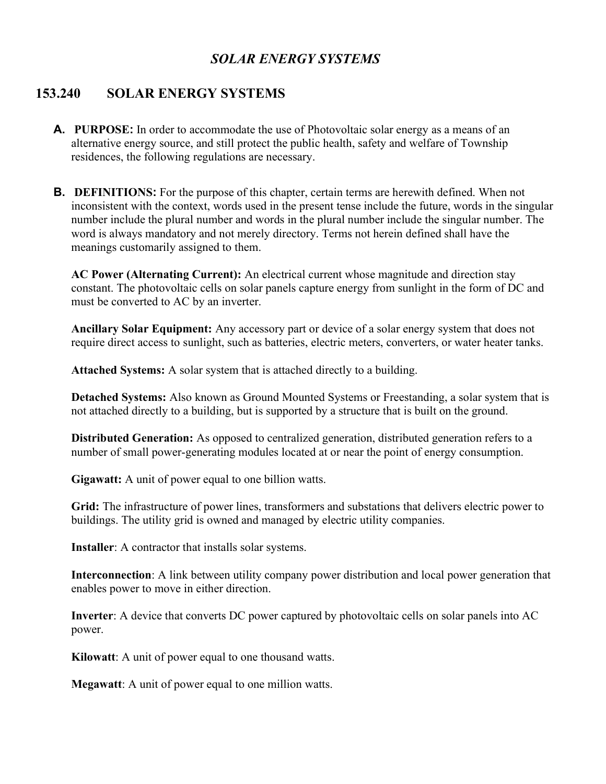# SOLAR ENERGY SYSTEMS

# 153.240 SOLAR ENERGY SYSTEMS

- A. PURPOSE: In order to accommodate the use of Photovoltaic solar energy as a means of an alternative energy source, and still protect the public health, safety and welfare of Township residences, the following regulations are necessary.
- B. DEFINITIONS: For the purpose of this chapter, certain terms are herewith defined. When not inconsistent with the context, words used in the present tense include the future, words in the singular number include the plural number and words in the plural number include the singular number. The word is always mandatory and not merely directory. Terms not herein defined shall have the meanings customarily assigned to them.

AC Power (Alternating Current): An electrical current whose magnitude and direction stay constant. The photovoltaic cells on solar panels capture energy from sunlight in the form of DC and must be converted to AC by an inverter.

Ancillary Solar Equipment: Any accessory part or device of a solar energy system that does not require direct access to sunlight, such as batteries, electric meters, converters, or water heater tanks.

Attached Systems: A solar system that is attached directly to a building.

Detached Systems: Also known as Ground Mounted Systems or Freestanding, a solar system that is not attached directly to a building, but is supported by a structure that is built on the ground.

Distributed Generation: As opposed to centralized generation, distributed generation refers to a number of small power-generating modules located at or near the point of energy consumption.

Gigawatt: A unit of power equal to one billion watts.

Grid: The infrastructure of power lines, transformers and substations that delivers electric power to buildings. The utility grid is owned and managed by electric utility companies.

Installer: A contractor that installs solar systems.

Interconnection: A link between utility company power distribution and local power generation that enables power to move in either direction.

Inverter: A device that converts DC power captured by photovoltaic cells on solar panels into AC power.

Kilowatt: A unit of power equal to one thousand watts.

Megawatt: A unit of power equal to one million watts.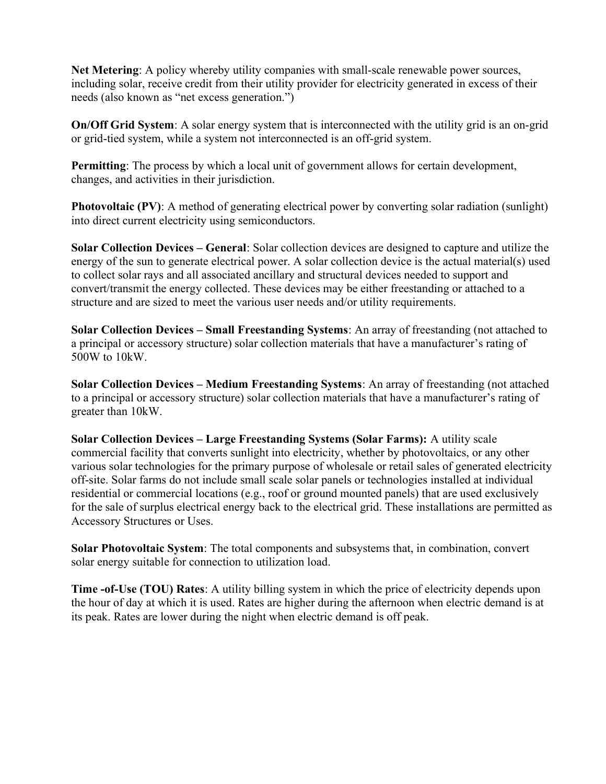Net Metering: A policy whereby utility companies with small-scale renewable power sources, including solar, receive credit from their utility provider for electricity generated in excess of their needs (also known as "net excess generation.")

On/Off Grid System: A solar energy system that is interconnected with the utility grid is an on-grid or grid-tied system, while a system not interconnected is an off-grid system.

Permitting: The process by which a local unit of government allows for certain development, changes, and activities in their jurisdiction.

Photovoltaic (PV): A method of generating electrical power by converting solar radiation (sunlight) into direct current electricity using semiconductors.

Solar Collection Devices – General: Solar collection devices are designed to capture and utilize the energy of the sun to generate electrical power. A solar collection device is the actual material(s) used to collect solar rays and all associated ancillary and structural devices needed to support and convert/transmit the energy collected. These devices may be either freestanding or attached to a structure and are sized to meet the various user needs and/or utility requirements.

Solar Collection Devices – Small Freestanding Systems: An array of freestanding (not attached to a principal or accessory structure) solar collection materials that have a manufacturer's rating of 500W to 10kW.

Solar Collection Devices – Medium Freestanding Systems: An array of freestanding (not attached to a principal or accessory structure) solar collection materials that have a manufacturer's rating of greater than 10kW.

Solar Collection Devices – Large Freestanding Systems (Solar Farms): A utility scale commercial facility that converts sunlight into electricity, whether by photovoltaics, or any other various solar technologies for the primary purpose of wholesale or retail sales of generated electricity off-site. Solar farms do not include small scale solar panels or technologies installed at individual residential or commercial locations (e.g., roof or ground mounted panels) that are used exclusively for the sale of surplus electrical energy back to the electrical grid. These installations are permitted as Accessory Structures or Uses.

Solar Photovoltaic System: The total components and subsystems that, in combination, convert solar energy suitable for connection to utilization load.

Time -of-Use (TOU) Rates: A utility billing system in which the price of electricity depends upon the hour of day at which it is used. Rates are higher during the afternoon when electric demand is at its peak. Rates are lower during the night when electric demand is off peak.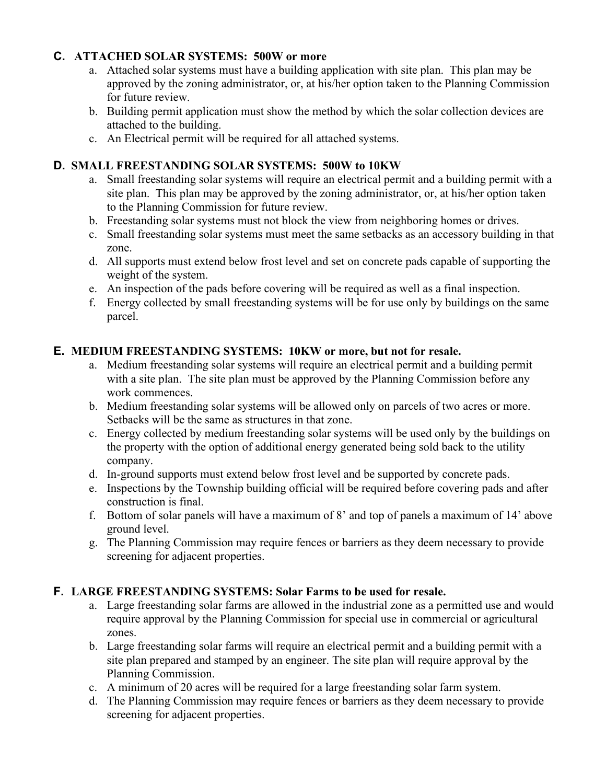#### C. ATTACHED SOLAR SYSTEMS: 500W or more

- a. Attached solar systems must have a building application with site plan. This plan may be approved by the zoning administrator, or, at his/her option taken to the Planning Commission for future review.
- b. Building permit application must show the method by which the solar collection devices are attached to the building.
- c. An Electrical permit will be required for all attached systems.

### D. SMALL FREESTANDING SOLAR SYSTEMS: 500W to 10KW

- a. Small freestanding solar systems will require an electrical permit and a building permit with a site plan. This plan may be approved by the zoning administrator, or, at his/her option taken to the Planning Commission for future review.
- b. Freestanding solar systems must not block the view from neighboring homes or drives.
- c. Small freestanding solar systems must meet the same setbacks as an accessory building in that zone.
- d. All supports must extend below frost level and set on concrete pads capable of supporting the weight of the system.
- e. An inspection of the pads before covering will be required as well as a final inspection.
- f. Energy collected by small freestanding systems will be for use only by buildings on the same parcel.

#### E. MEDIUM FREESTANDING SYSTEMS: 10KW or more, but not for resale.

- a. Medium freestanding solar systems will require an electrical permit and a building permit with a site plan. The site plan must be approved by the Planning Commission before any work commences.
- b. Medium freestanding solar systems will be allowed only on parcels of two acres or more. Setbacks will be the same as structures in that zone.
- c. Energy collected by medium freestanding solar systems will be used only by the buildings on the property with the option of additional energy generated being sold back to the utility company.
- d. In-ground supports must extend below frost level and be supported by concrete pads.
- e. Inspections by the Township building official will be required before covering pads and after construction is final.
- f. Bottom of solar panels will have a maximum of 8' and top of panels a maximum of 14' above ground level.
- g. The Planning Commission may require fences or barriers as they deem necessary to provide screening for adjacent properties.

### F. LARGE FREESTANDING SYSTEMS: Solar Farms to be used for resale.

- a. Large freestanding solar farms are allowed in the industrial zone as a permitted use and would require approval by the Planning Commission for special use in commercial or agricultural zones.
- b. Large freestanding solar farms will require an electrical permit and a building permit with a site plan prepared and stamped by an engineer. The site plan will require approval by the Planning Commission.
- c. A minimum of 20 acres will be required for a large freestanding solar farm system.
- d. The Planning Commission may require fences or barriers as they deem necessary to provide screening for adjacent properties.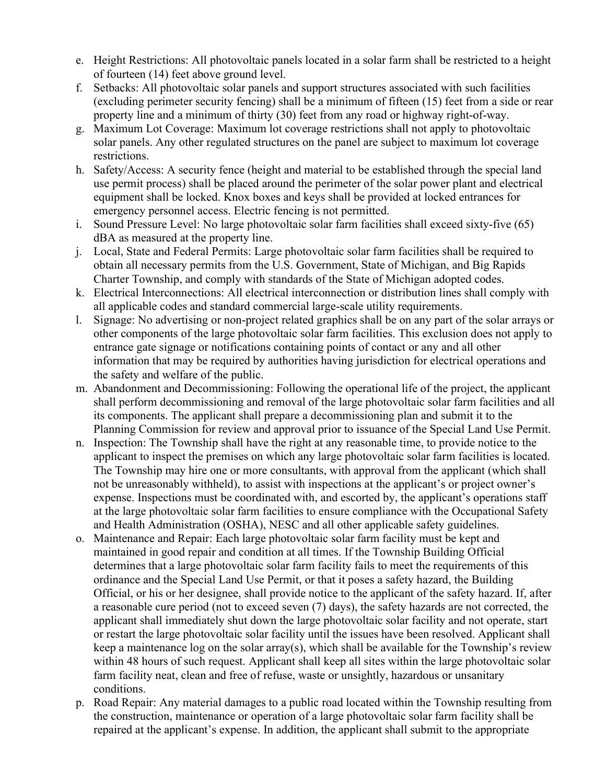- e. Height Restrictions: All photovoltaic panels located in a solar farm shall be restricted to a height of fourteen (14) feet above ground level.
- f. Setbacks: All photovoltaic solar panels and support structures associated with such facilities (excluding perimeter security fencing) shall be a minimum of fifteen (15) feet from a side or rear property line and a minimum of thirty (30) feet from any road or highway right-of-way.
- g. Maximum Lot Coverage: Maximum lot coverage restrictions shall not apply to photovoltaic solar panels. Any other regulated structures on the panel are subject to maximum lot coverage restrictions.
- h. Safety/Access: A security fence (height and material to be established through the special land use permit process) shall be placed around the perimeter of the solar power plant and electrical equipment shall be locked. Knox boxes and keys shall be provided at locked entrances for emergency personnel access. Electric fencing is not permitted.
- i. Sound Pressure Level: No large photovoltaic solar farm facilities shall exceed sixty-five (65) dBA as measured at the property line.
- j. Local, State and Federal Permits: Large photovoltaic solar farm facilities shall be required to obtain all necessary permits from the U.S. Government, State of Michigan, and Big Rapids Charter Township, and comply with standards of the State of Michigan adopted codes.
- k. Electrical Interconnections: All electrical interconnection or distribution lines shall comply with all applicable codes and standard commercial large-scale utility requirements.
- l. Signage: No advertising or non-project related graphics shall be on any part of the solar arrays or other components of the large photovoltaic solar farm facilities. This exclusion does not apply to entrance gate signage or notifications containing points of contact or any and all other information that may be required by authorities having jurisdiction for electrical operations and the safety and welfare of the public.
- m. Abandonment and Decommissioning: Following the operational life of the project, the applicant shall perform decommissioning and removal of the large photovoltaic solar farm facilities and all its components. The applicant shall prepare a decommissioning plan and submit it to the Planning Commission for review and approval prior to issuance of the Special Land Use Permit.
- n. Inspection: The Township shall have the right at any reasonable time, to provide notice to the applicant to inspect the premises on which any large photovoltaic solar farm facilities is located. The Township may hire one or more consultants, with approval from the applicant (which shall not be unreasonably withheld), to assist with inspections at the applicant's or project owner's expense. Inspections must be coordinated with, and escorted by, the applicant's operations staff at the large photovoltaic solar farm facilities to ensure compliance with the Occupational Safety and Health Administration (OSHA), NESC and all other applicable safety guidelines.
- o. Maintenance and Repair: Each large photovoltaic solar farm facility must be kept and maintained in good repair and condition at all times. If the Township Building Official determines that a large photovoltaic solar farm facility fails to meet the requirements of this ordinance and the Special Land Use Permit, or that it poses a safety hazard, the Building Official, or his or her designee, shall provide notice to the applicant of the safety hazard. If, after a reasonable cure period (not to exceed seven (7) days), the safety hazards are not corrected, the applicant shall immediately shut down the large photovoltaic solar facility and not operate, start or restart the large photovoltaic solar facility until the issues have been resolved. Applicant shall keep a maintenance log on the solar array(s), which shall be available for the Township's review within 48 hours of such request. Applicant shall keep all sites within the large photovoltaic solar farm facility neat, clean and free of refuse, waste or unsightly, hazardous or unsanitary conditions.
- p. Road Repair: Any material damages to a public road located within the Township resulting from the construction, maintenance or operation of a large photovoltaic solar farm facility shall be repaired at the applicant's expense. In addition, the applicant shall submit to the appropriate